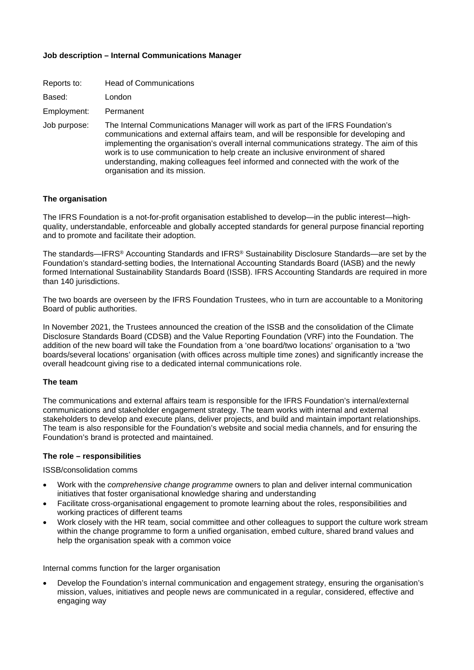## **Job description – Internal Communications Manager**

| Reports to:  | <b>Head of Communications</b>                                                                                                                                                                                                                                                                                                                                                                                                                                               |
|--------------|-----------------------------------------------------------------------------------------------------------------------------------------------------------------------------------------------------------------------------------------------------------------------------------------------------------------------------------------------------------------------------------------------------------------------------------------------------------------------------|
| Based:       | London                                                                                                                                                                                                                                                                                                                                                                                                                                                                      |
| Employment:  | Permanent                                                                                                                                                                                                                                                                                                                                                                                                                                                                   |
| Job purpose: | The Internal Communications Manager will work as part of the IFRS Foundation's<br>communications and external affairs team, and will be responsible for developing and<br>implementing the organisation's overall internal communications strategy. The aim of this<br>work is to use communication to help create an inclusive environment of shared<br>understanding, making colleagues feel informed and connected with the work of the<br>organisation and its mission. |

#### **The organisation**

The IFRS Foundation is a not-for-profit organisation established to develop—in the public interest—highquality, understandable, enforceable and globally accepted standards for general purpose financial reporting and to promote and facilitate their adoption.

The standards—IFRS® Accounting Standards and IFRS® Sustainability Disclosure Standards—are set by the Foundation's standard-setting bodies, the International Accounting Standards Board (IASB) and the newly formed International Sustainability Standards Board (ISSB). IFRS Accounting Standards are required in more than 140 jurisdictions.

The two boards are overseen by the IFRS Foundation Trustees, who in turn are accountable to a Monitoring Board of public authorities.

In November 2021, the Trustees announced the creation of the ISSB and the consolidation of the Climate Disclosure Standards Board (CDSB) and the Value Reporting Foundation (VRF) into the Foundation. The addition of the new board will take the Foundation from a 'one board/two locations' organisation to a 'two boards/several locations' organisation (with offices across multiple time zones) and significantly increase the overall headcount giving rise to a dedicated internal communications role.

#### **The team**

The communications and external affairs team is responsible for the IFRS Foundation's internal/external communications and stakeholder engagement strategy. The team works with internal and external stakeholders to develop and execute plans, deliver projects, and build and maintain important relationships. The team is also responsible for the Foundation's website and social media channels, and for ensuring the Foundation's brand is protected and maintained.

#### **The role – responsibilities**

ISSB/consolidation comms

- Work with the *comprehensive change programme* owners to plan and deliver internal communication initiatives that foster organisational knowledge sharing and understanding
- Facilitate cross-organisational engagement to promote learning about the roles, responsibilities and working practices of different teams
- Work closely with the HR team, social committee and other colleagues to support the culture work stream within the change programme to form a unified organisation, embed culture, shared brand values and help the organisation speak with a common voice

Internal comms function for the larger organisation

• Develop the Foundation's internal communication and engagement strategy, ensuring the organisation's mission, values, initiatives and people news are communicated in a regular, considered, effective and engaging way